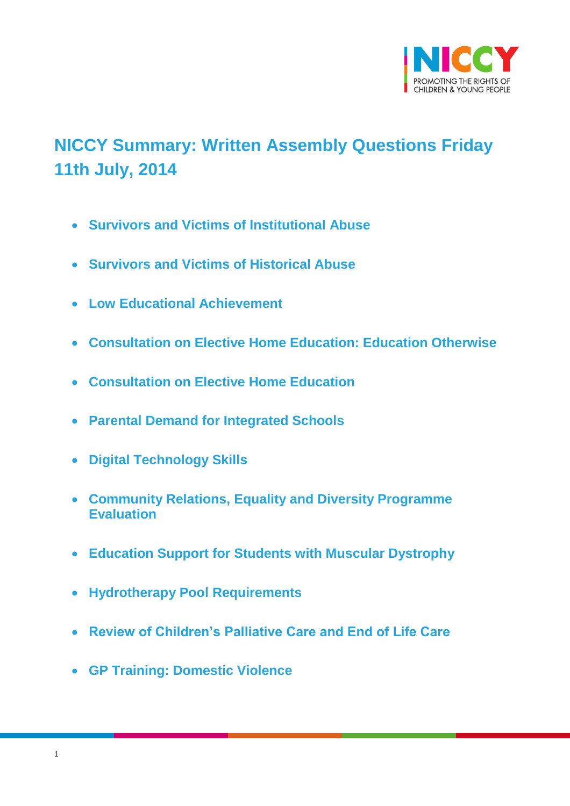

# <span id="page-0-0"></span>**NICCY Summary: Written Assembly Questions Friday 11th July, 2014**

- **[Survivors and Victims of Institutional Abuse](#page-2-0)**
- **[Survivors and Victims of Historical Abuse](#page-2-1)**
- **[Low Educational Achievement](#page-3-0)**
- **[Consultation on Elective Home Education: Education Otherwise](#page-4-0)**
- **[Consultation on Elective Home Education](#page-5-0)**
- **[Parental Demand for Integrated Schools](#page-6-0)**
- **[Digital Technology Skills](#page-6-1)**
- **[Community Relations, Equality and Diversity Programme](#page-8-0)  [Evaluation](#page-8-0)**
- **[Education Support for Students with Muscular Dystrophy](#page-8-1)**
- **[Hydrotherapy Pool Requirements](#page-9-0)**
- **[Review of Children's Palliative Care and End of Life Care](#page-10-0)**
- **[GP Training: Domestic Violence](#page-11-0)**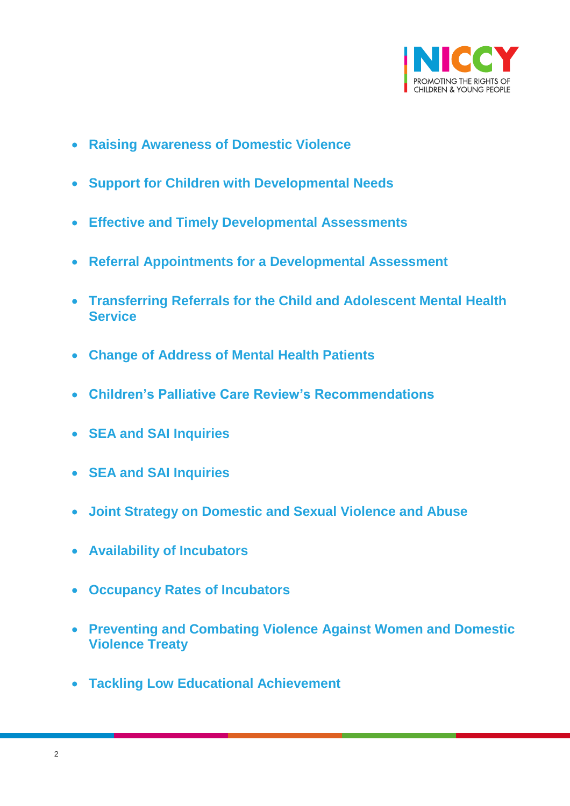

- **[Raising Awareness of Domestic Violence](#page-11-1)**
- **[Support for Children with Developmental Needs](#page-12-0)**
- **[Effective and Timely Developmental Assessments](#page-13-0)**
- **[Referral Appointments for a Developmental Assessment](#page-14-0)**
- **[Transferring Referrals for the Child and Adolescent Mental Health](#page-15-0)  [Service](#page-15-0)**
- **[Change of Address of Mental Health Patients](#page-16-0)**
- **[Children's Palliative Care Review's Recommendations](#page-16-1)**
- **[SEA and SAI Inquiries](#page-17-0)**
- **[SEA and SAI Inquiries](#page-18-0)**
- **[Joint Strategy on Domestic and Sexual Violence and Abuse](#page-19-0)**
- **[Availability of Incubators](#page-20-0)**
- **[Occupancy Rates of Incubators](#page-21-0)**
- **[Preventing and Combating Violence Against Women and Domestic](#page-22-0)  [Violence Treaty](#page-22-0)**
- **[Tackling Low Educational Achievement](#page-23-0)**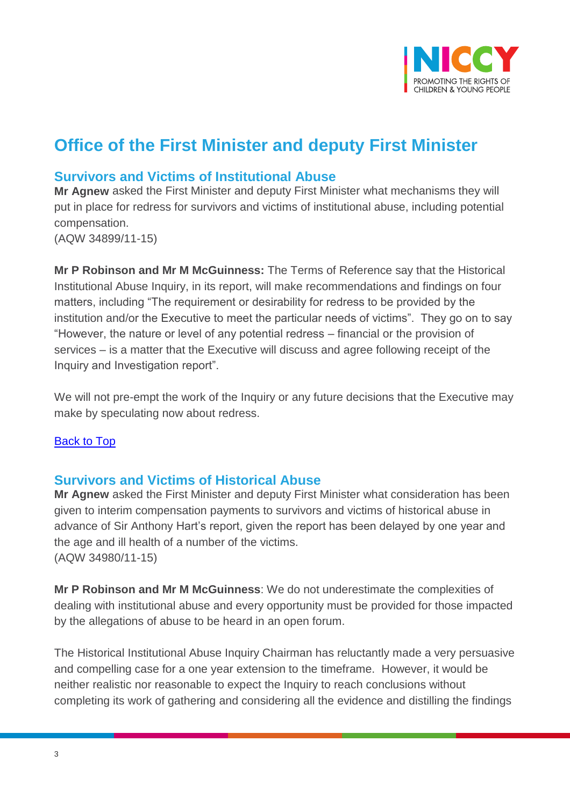

## **Office of the First Minister and deputy First Minister**

### <span id="page-2-0"></span>**Survivors and Victims of Institutional Abuse**

**Mr Agnew** asked the First Minister and deputy First Minister what mechanisms they will put in place for redress for survivors and victims of institutional abuse, including potential compensation.

(AQW 34899/11-15)

**Mr P Robinson and Mr M McGuinness:** The Terms of Reference say that the Historical Institutional Abuse Inquiry, in its report, will make recommendations and findings on four matters, including "The requirement or desirability for redress to be provided by the institution and/or the Executive to meet the particular needs of victims". They go on to say "However, the nature or level of any potential redress – financial or the provision of services – is a matter that the Executive will discuss and agree following receipt of the Inquiry and Investigation report".

We will not pre-empt the work of the Inquiry or any future decisions that the Executive may make by speculating now about redress.

#### [Back to Top](#page-0-0)

#### <span id="page-2-1"></span>**Survivors and Victims of Historical Abuse**

**Mr Agnew** asked the First Minister and deputy First Minister what consideration has been given to interim compensation payments to survivors and victims of historical abuse in advance of Sir Anthony Hart's report, given the report has been delayed by one year and the age and ill health of a number of the victims. (AQW 34980/11-15)

**Mr P Robinson and Mr M McGuinness**: We do not underestimate the complexities of dealing with institutional abuse and every opportunity must be provided for those impacted by the allegations of abuse to be heard in an open forum.

The Historical Institutional Abuse Inquiry Chairman has reluctantly made a very persuasive and compelling case for a one year extension to the timeframe. However, it would be neither realistic nor reasonable to expect the Inquiry to reach conclusions without completing its work of gathering and considering all the evidence and distilling the findings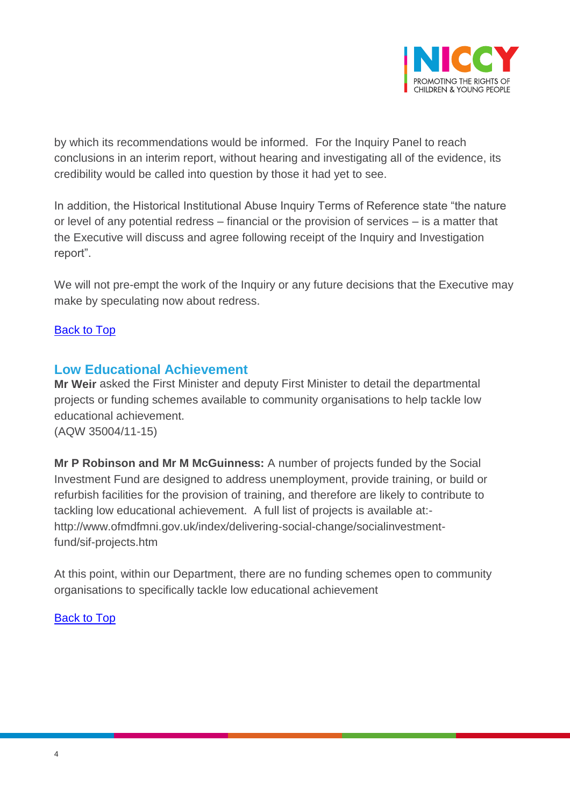

by which its recommendations would be informed. For the Inquiry Panel to reach conclusions in an interim report, without hearing and investigating all of the evidence, its credibility would be called into question by those it had yet to see.

In addition, the Historical Institutional Abuse Inquiry Terms of Reference state "the nature or level of any potential redress – financial or the provision of services – is a matter that the Executive will discuss and agree following receipt of the Inquiry and Investigation report".

We will not pre-empt the work of the Inquiry or any future decisions that the Executive may make by speculating now about redress.

#### [Back to Top](#page-0-0)

#### <span id="page-3-0"></span>**Low Educational Achievement**

**Mr Weir** asked the First Minister and deputy First Minister to detail the departmental projects or funding schemes available to community organisations to help tackle low educational achievement. (AQW 35004/11-15)

**Mr P Robinson and Mr M McGuinness:** A number of projects funded by the Social Investment Fund are designed to address unemployment, provide training, or build or refurbish facilities for the provision of training, and therefore are likely to contribute to tackling low educational achievement. A full list of projects is available at: http://www.ofmdfmni.gov.uk/index/delivering-social-change/socialinvestmentfund/sif-projects.htm

At this point, within our Department, there are no funding schemes open to community organisations to specifically tackle low educational achievement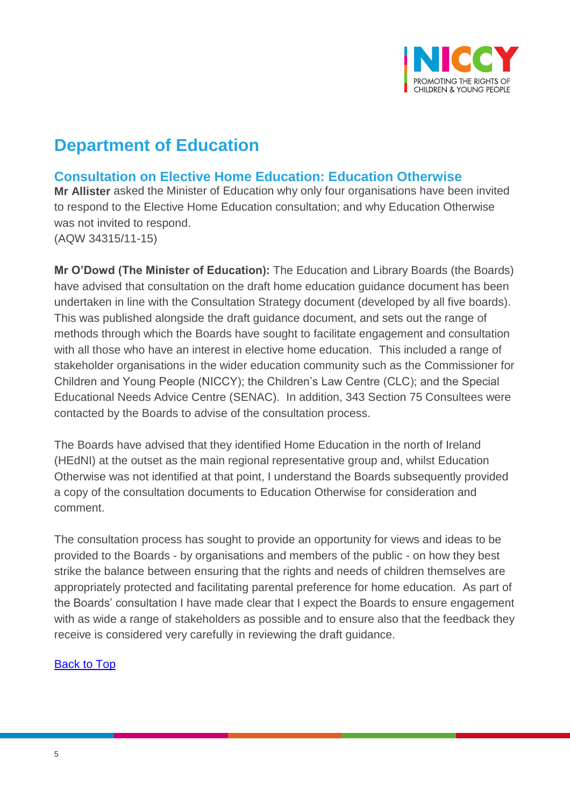

## **Department of Education**

## <span id="page-4-0"></span>**Consultation on Elective Home Education: Education Otherwise**

**Mr Allister** asked the Minister of Education why only four organisations have been invited to respond to the Elective Home Education consultation; and why Education Otherwise was not invited to respond. (AQW 34315/11-15)

**Mr O'Dowd (The Minister of Education):** The Education and Library Boards (the Boards) have advised that consultation on the draft home education guidance document has been undertaken in line with the Consultation Strategy document (developed by all five boards). This was published alongside the draft guidance document, and sets out the range of methods through which the Boards have sought to facilitate engagement and consultation with all those who have an interest in elective home education. This included a range of stakeholder organisations in the wider education community such as the Commissioner for Children and Young People (NICCY); the Children's Law Centre (CLC); and the Special Educational Needs Advice Centre (SENAC). In addition, 343 Section 75 Consultees were contacted by the Boards to advise of the consultation process.

The Boards have advised that they identified Home Education in the north of Ireland (HEdNI) at the outset as the main regional representative group and, whilst Education Otherwise was not identified at that point, I understand the Boards subsequently provided a copy of the consultation documents to Education Otherwise for consideration and comment.

The consultation process has sought to provide an opportunity for views and ideas to be provided to the Boards - by organisations and members of the public - on how they best strike the balance between ensuring that the rights and needs of children themselves are appropriately protected and facilitating parental preference for home education. As part of the Boards' consultation I have made clear that I expect the Boards to ensure engagement with as wide a range of stakeholders as possible and to ensure also that the feedback they receive is considered very carefully in reviewing the draft guidance.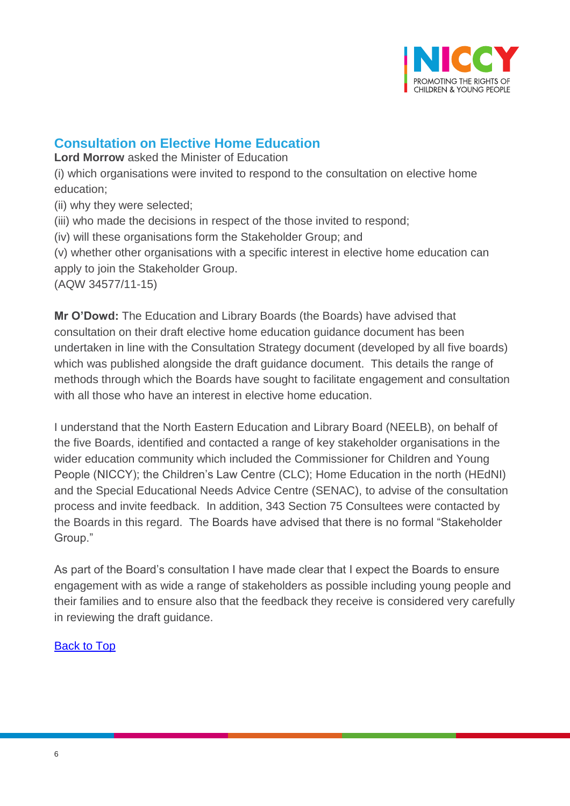

## <span id="page-5-0"></span>**Consultation on Elective Home Education**

**Lord Morrow** asked the Minister of Education

(i) which organisations were invited to respond to the consultation on elective home education;

(ii) why they were selected;

(iii) who made the decisions in respect of the those invited to respond;

(iv) will these organisations form the Stakeholder Group; and

(v) whether other organisations with a specific interest in elective home education can apply to join the Stakeholder Group.

(AQW 34577/11-15)

**Mr O'Dowd:** The Education and Library Boards (the Boards) have advised that consultation on their draft elective home education guidance document has been undertaken in line with the Consultation Strategy document (developed by all five boards) which was published alongside the draft guidance document. This details the range of methods through which the Boards have sought to facilitate engagement and consultation with all those who have an interest in elective home education.

I understand that the North Eastern Education and Library Board (NEELB), on behalf of the five Boards, identified and contacted a range of key stakeholder organisations in the wider education community which included the Commissioner for Children and Young People (NICCY); the Children's Law Centre (CLC); Home Education in the north (HEdNI) and the Special Educational Needs Advice Centre (SENAC), to advise of the consultation process and invite feedback. In addition, 343 Section 75 Consultees were contacted by the Boards in this regard. The Boards have advised that there is no formal "Stakeholder Group."

As part of the Board's consultation I have made clear that I expect the Boards to ensure engagement with as wide a range of stakeholders as possible including young people and their families and to ensure also that the feedback they receive is considered very carefully in reviewing the draft guidance.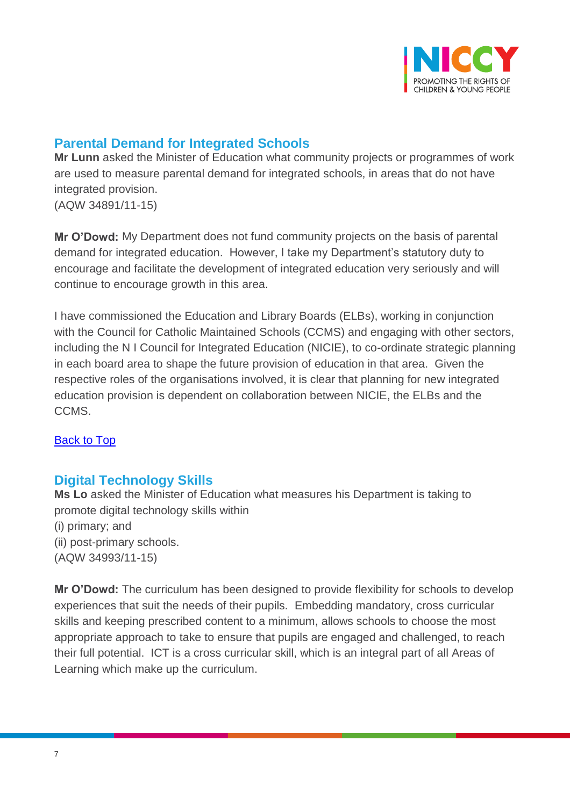

## <span id="page-6-0"></span>**Parental Demand for Integrated Schools**

**Mr Lunn** asked the Minister of Education what community projects or programmes of work are used to measure parental demand for integrated schools, in areas that do not have integrated provision. (AQW 34891/11-15)

**Mr O'Dowd:** My Department does not fund community projects on the basis of parental demand for integrated education. However, I take my Department's statutory duty to encourage and facilitate the development of integrated education very seriously and will continue to encourage growth in this area.

I have commissioned the Education and Library Boards (ELBs), working in conjunction with the Council for Catholic Maintained Schools (CCMS) and engaging with other sectors, including the N I Council for Integrated Education (NICIE), to co-ordinate strategic planning in each board area to shape the future provision of education in that area. Given the respective roles of the organisations involved, it is clear that planning for new integrated education provision is dependent on collaboration between NICIE, the ELBs and the CCMS.

#### [Back to Top](#page-0-0)

## <span id="page-6-1"></span>**Digital Technology Skills**

**Ms Lo** asked the Minister of Education what measures his Department is taking to promote digital technology skills within (i) primary; and (ii) post-primary schools. (AQW 34993/11-15)

**Mr O'Dowd:** The curriculum has been designed to provide flexibility for schools to develop experiences that suit the needs of their pupils. Embedding mandatory, cross curricular skills and keeping prescribed content to a minimum, allows schools to choose the most appropriate approach to take to ensure that pupils are engaged and challenged, to reach their full potential. ICT is a cross curricular skill, which is an integral part of all Areas of Learning which make up the curriculum.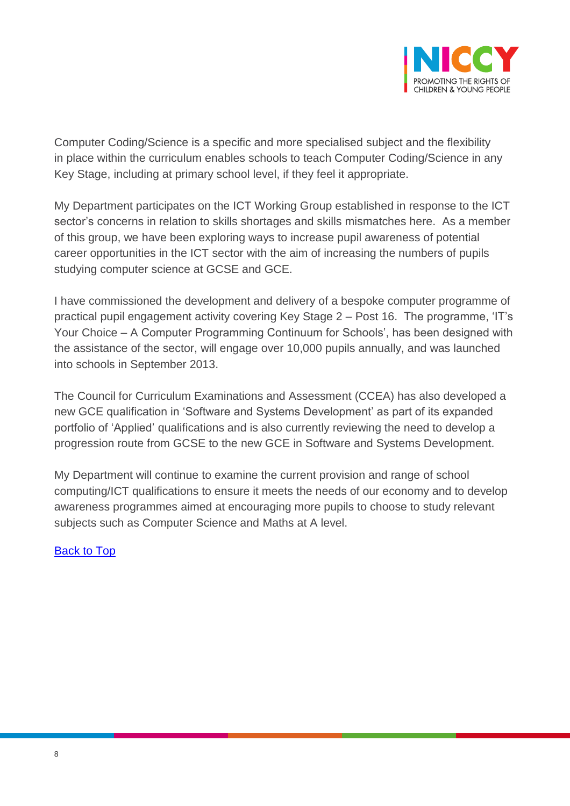

Computer Coding/Science is a specific and more specialised subject and the flexibility in place within the curriculum enables schools to teach Computer Coding/Science in any Key Stage, including at primary school level, if they feel it appropriate.

My Department participates on the ICT Working Group established in response to the ICT sector's concerns in relation to skills shortages and skills mismatches here. As a member of this group, we have been exploring ways to increase pupil awareness of potential career opportunities in the ICT sector with the aim of increasing the numbers of pupils studying computer science at GCSE and GCE.

I have commissioned the development and delivery of a bespoke computer programme of practical pupil engagement activity covering Key Stage 2 – Post 16. The programme, 'IT's Your Choice – A Computer Programming Continuum for Schools', has been designed with the assistance of the sector, will engage over 10,000 pupils annually, and was launched into schools in September 2013.

The Council for Curriculum Examinations and Assessment (CCEA) has also developed a new GCE qualification in 'Software and Systems Development' as part of its expanded portfolio of 'Applied' qualifications and is also currently reviewing the need to develop a progression route from GCSE to the new GCE in Software and Systems Development.

My Department will continue to examine the current provision and range of school computing/ICT qualifications to ensure it meets the needs of our economy and to develop awareness programmes aimed at encouraging more pupils to choose to study relevant subjects such as Computer Science and Maths at A level.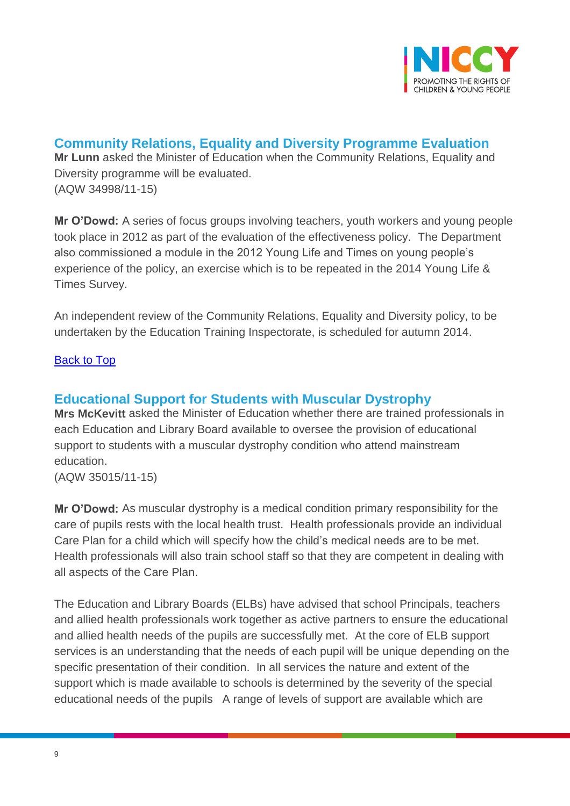

<span id="page-8-0"></span>**Community Relations, Equality and Diversity Programme Evaluation Mr Lunn** asked the Minister of Education when the Community Relations, Equality and Diversity programme will be evaluated. (AQW 34998/11-15)

**Mr O'Dowd:** A series of focus groups involving teachers, youth workers and young people took place in 2012 as part of the evaluation of the effectiveness policy. The Department also commissioned a module in the 2012 Young Life and Times on young people's experience of the policy, an exercise which is to be repeated in the 2014 Young Life & Times Survey.

An independent review of the Community Relations, Equality and Diversity policy, to be undertaken by the Education Training Inspectorate, is scheduled for autumn 2014.

#### **[Back to Top](#page-0-0)**

#### <span id="page-8-1"></span>**Educational Support for Students with Muscular Dystrophy**

**Mrs McKevitt** asked the Minister of Education whether there are trained professionals in each Education and Library Board available to oversee the provision of educational support to students with a muscular dystrophy condition who attend mainstream education.

(AQW 35015/11-15)

**Mr O'Dowd:** As muscular dystrophy is a medical condition primary responsibility for the care of pupils rests with the local health trust. Health professionals provide an individual Care Plan for a child which will specify how the child's medical needs are to be met. Health professionals will also train school staff so that they are competent in dealing with all aspects of the Care Plan.

The Education and Library Boards (ELBs) have advised that school Principals, teachers and allied health professionals work together as active partners to ensure the educational and allied health needs of the pupils are successfully met. At the core of ELB support services is an understanding that the needs of each pupil will be unique depending on the specific presentation of their condition. In all services the nature and extent of the support which is made available to schools is determined by the severity of the special educational needs of the pupils A range of levels of support are available which are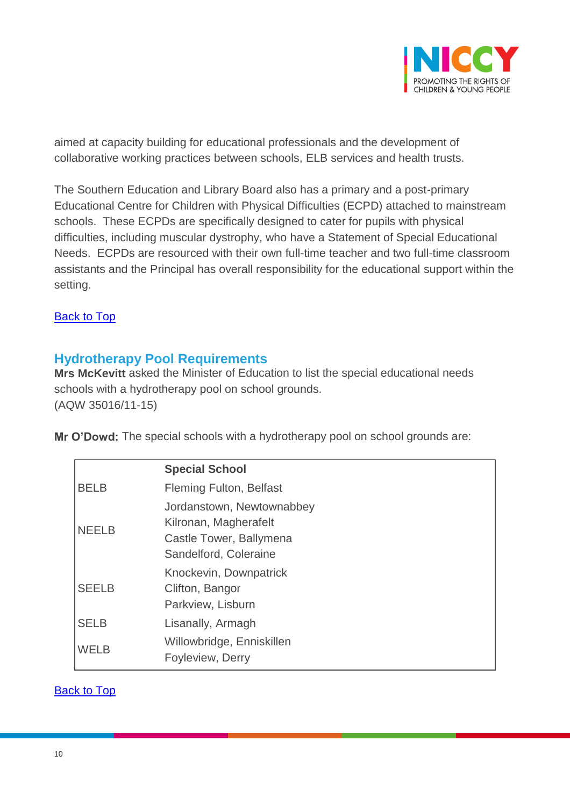

aimed at capacity building for educational professionals and the development of collaborative working practices between schools, ELB services and health trusts.

The Southern Education and Library Board also has a primary and a post-primary Educational Centre for Children with Physical Difficulties (ECPD) attached to mainstream schools. These ECPDs are specifically designed to cater for pupils with physical difficulties, including muscular dystrophy, who have a Statement of Special Educational Needs. ECPDs are resourced with their own full-time teacher and two full-time classroom assistants and the Principal has overall responsibility for the educational support within the setting.

**[Back to Top](#page-0-0)** 

### <span id="page-9-0"></span>**Hydrotherapy Pool Requirements**

**Mrs McKevitt** asked the Minister of Education to list the special educational needs schools with a hydrotherapy pool on school grounds. (AQW 35016/11-15)

**Mr O'Dowd:** The special schools with a hydrotherapy pool on school grounds are:

|              | <b>Special School</b>                                                                                  |
|--------------|--------------------------------------------------------------------------------------------------------|
| <b>BELB</b>  | <b>Fleming Fulton, Belfast</b>                                                                         |
| <b>NEELB</b> | Jordanstown, Newtownabbey<br>Kilronan, Magherafelt<br>Castle Tower, Ballymena<br>Sandelford, Coleraine |
| <b>SEELB</b> | Knockevin, Downpatrick<br>Clifton, Bangor<br>Parkview, Lisburn                                         |
| <b>SELB</b>  | Lisanally, Armagh                                                                                      |
| <b>WELB</b>  | Willowbridge, Enniskillen<br>Foyleview, Derry                                                          |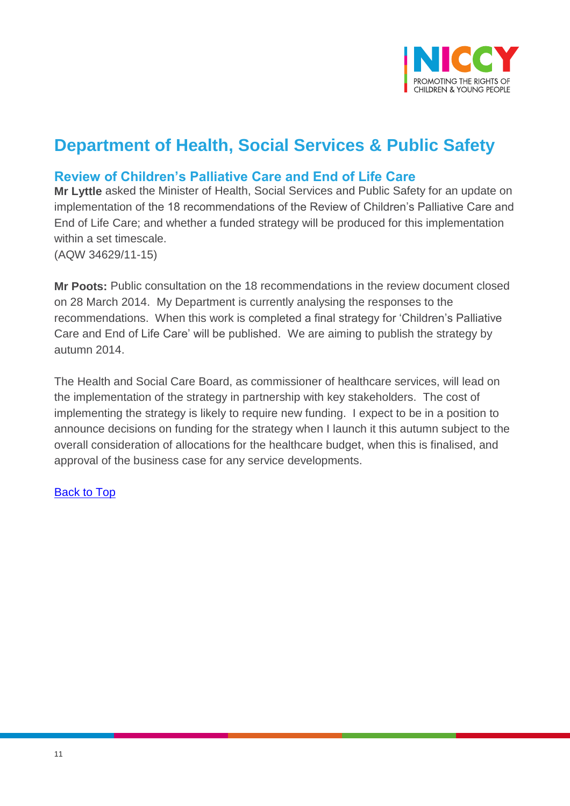

## **Department of Health, Social Services & Public Safety**

### <span id="page-10-0"></span>**Review of Children's Palliative Care and End of Life Care**

**Mr Lyttle** asked the Minister of Health, Social Services and Public Safety for an update on implementation of the 18 recommendations of the Review of Children's Palliative Care and End of Life Care; and whether a funded strategy will be produced for this implementation within a set timescale. (AQW 34629/11-15)

**Mr Poots:** Public consultation on the 18 recommendations in the review document closed on 28 March 2014. My Department is currently analysing the responses to the recommendations. When this work is completed a final strategy for 'Children's Palliative Care and End of Life Care' will be published. We are aiming to publish the strategy by autumn 2014.

The Health and Social Care Board, as commissioner of healthcare services, will lead on the implementation of the strategy in partnership with key stakeholders. The cost of implementing the strategy is likely to require new funding. I expect to be in a position to announce decisions on funding for the strategy when I launch it this autumn subject to the overall consideration of allocations for the healthcare budget, when this is finalised, and approval of the business case for any service developments.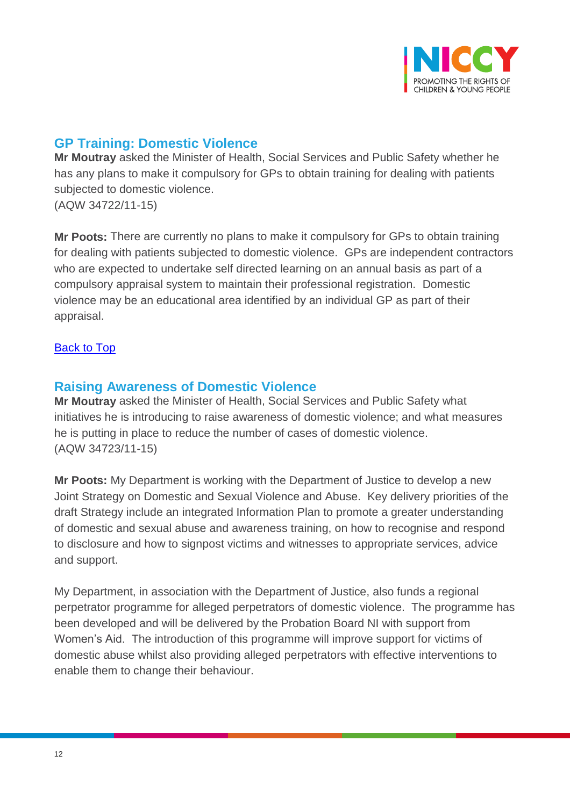

## <span id="page-11-0"></span>**GP Training: Domestic Violence**

**Mr Moutray** asked the Minister of Health, Social Services and Public Safety whether he has any plans to make it compulsory for GPs to obtain training for dealing with patients subjected to domestic violence. (AQW 34722/11-15)

**Mr Poots:** There are currently no plans to make it compulsory for GPs to obtain training for dealing with patients subjected to domestic violence. GPs are independent contractors who are expected to undertake self directed learning on an annual basis as part of a compulsory appraisal system to maintain their professional registration. Domestic violence may be an educational area identified by an individual GP as part of their appraisal.

#### [Back to Top](#page-0-0)

#### <span id="page-11-1"></span>**Raising Awareness of Domestic Violence**

**Mr Moutray** asked the Minister of Health, Social Services and Public Safety what initiatives he is introducing to raise awareness of domestic violence; and what measures he is putting in place to reduce the number of cases of domestic violence. (AQW 34723/11-15)

**Mr Poots:** My Department is working with the Department of Justice to develop a new Joint Strategy on Domestic and Sexual Violence and Abuse. Key delivery priorities of the draft Strategy include an integrated Information Plan to promote a greater understanding of domestic and sexual abuse and awareness training, on how to recognise and respond to disclosure and how to signpost victims and witnesses to appropriate services, advice and support.

My Department, in association with the Department of Justice, also funds a regional perpetrator programme for alleged perpetrators of domestic violence. The programme has been developed and will be delivered by the Probation Board NI with support from Women's Aid. The introduction of this programme will improve support for victims of domestic abuse whilst also providing alleged perpetrators with effective interventions to enable them to change their behaviour.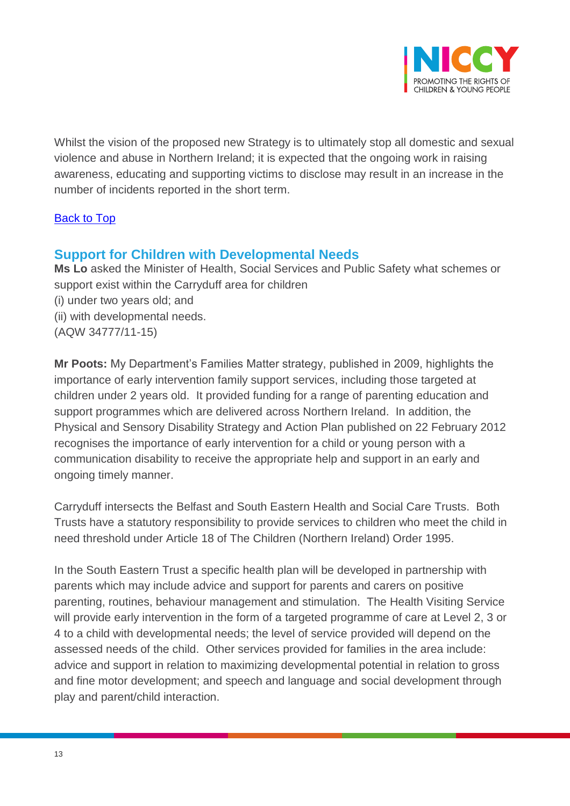

Whilst the vision of the proposed new Strategy is to ultimately stop all domestic and sexual violence and abuse in Northern Ireland; it is expected that the ongoing work in raising awareness, educating and supporting victims to disclose may result in an increase in the number of incidents reported in the short term.

#### [Back to Top](#page-0-0)

#### <span id="page-12-0"></span>**Support for Children with Developmental Needs**

**Ms Lo** asked the Minister of Health, Social Services and Public Safety what schemes or support exist within the Carryduff area for children (i) under two years old; and (ii) with developmental needs. (AQW 34777/11-15)

**Mr Poots:** My Department's Families Matter strategy, published in 2009, highlights the importance of early intervention family support services, including those targeted at children under 2 years old. It provided funding for a range of parenting education and support programmes which are delivered across Northern Ireland. In addition, the Physical and Sensory Disability Strategy and Action Plan published on 22 February 2012 recognises the importance of early intervention for a child or young person with a communication disability to receive the appropriate help and support in an early and ongoing timely manner.

Carryduff intersects the Belfast and South Eastern Health and Social Care Trusts. Both Trusts have a statutory responsibility to provide services to children who meet the child in need threshold under Article 18 of The Children (Northern Ireland) Order 1995.

In the South Eastern Trust a specific health plan will be developed in partnership with parents which may include advice and support for parents and carers on positive parenting, routines, behaviour management and stimulation. The Health Visiting Service will provide early intervention in the form of a targeted programme of care at Level 2, 3 or 4 to a child with developmental needs; the level of service provided will depend on the assessed needs of the child. Other services provided for families in the area include: advice and support in relation to maximizing developmental potential in relation to gross and fine motor development; and speech and language and social development through play and parent/child interaction.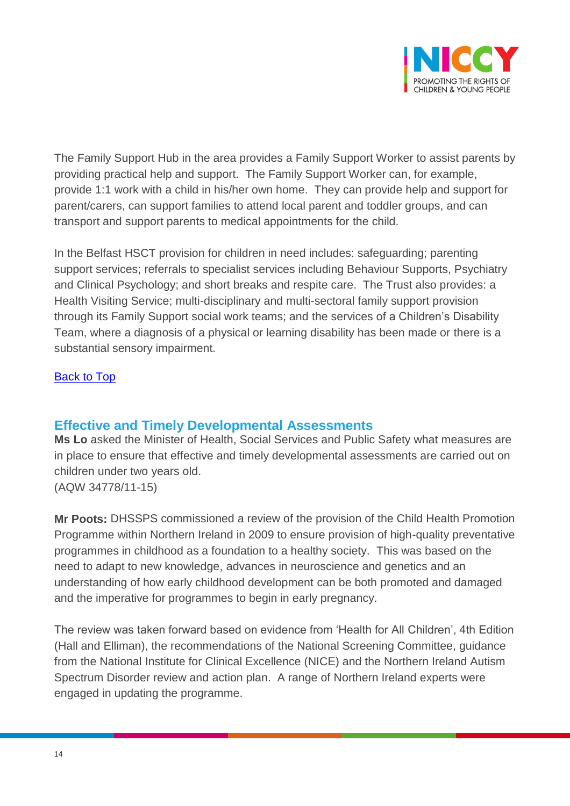

The Family Support Hub in the area provides a Family Support Worker to assist parents by providing practical help and support. The Family Support Worker can, for example, provide 1:1 work with a child in his/her own home. They can provide help and support for parent/carers, can support families to attend local parent and toddler groups, and can transport and support parents to medical appointments for the child.

In the Belfast HSCT provision for children in need includes: safeguarding; parenting support services; referrals to specialist services including Behaviour Supports, Psychiatry and Clinical Psychology; and short breaks and respite care. The Trust also provides: a Health Visiting Service; multi-disciplinary and multi-sectoral family support provision through its Family Support social work teams; and the services of a Children's Disability Team, where a diagnosis of a physical or learning disability has been made or there is a substantial sensory impairment.

#### [Back to Top](#page-0-0)

#### <span id="page-13-0"></span>**Effective and Timely Developmental Assessments**

**Ms Lo** asked the Minister of Health, Social Services and Public Safety what measures are in place to ensure that effective and timely developmental assessments are carried out on children under two years old. (AQW 34778/11-15)

**Mr Poots:** DHSSPS commissioned a review of the provision of the Child Health Promotion Programme within Northern Ireland in 2009 to ensure provision of high-quality preventative programmes in childhood as a foundation to a healthy society. This was based on the need to adapt to new knowledge, advances in neuroscience and genetics and an understanding of how early childhood development can be both promoted and damaged and the imperative for programmes to begin in early pregnancy.

The review was taken forward based on evidence from 'Health for All Children', 4th Edition (Hall and Elliman), the recommendations of the National Screening Committee, guidance from the National Institute for Clinical Excellence (NICE) and the Northern Ireland Autism Spectrum Disorder review and action plan. A range of Northern Ireland experts were engaged in updating the programme.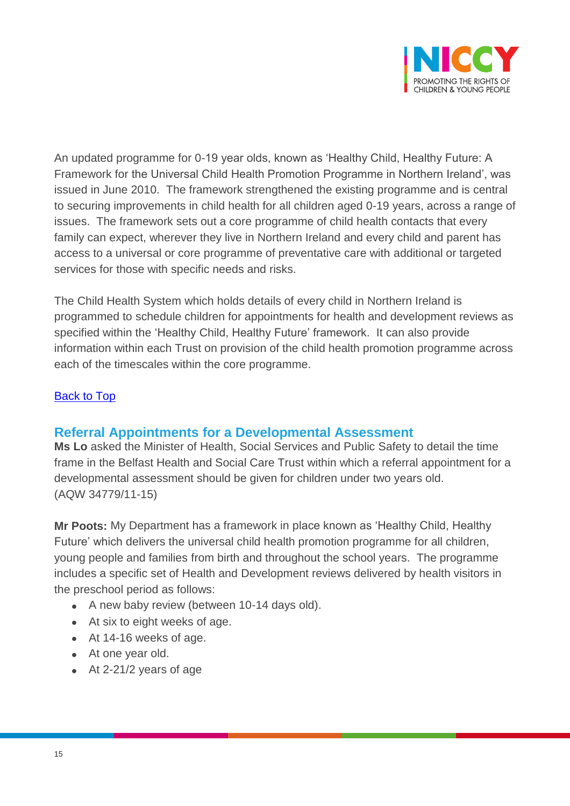

An updated programme for 0-19 year olds, known as 'Healthy Child, Healthy Future: A Framework for the Universal Child Health Promotion Programme in Northern Ireland', was issued in June 2010. The framework strengthened the existing programme and is central to securing improvements in child health for all children aged 0-19 years, across a range of issues. The framework sets out a core programme of child health contacts that every family can expect, wherever they live in Northern Ireland and every child and parent has access to a universal or core programme of preventative care with additional or targeted services for those with specific needs and risks.

The Child Health System which holds details of every child in Northern Ireland is programmed to schedule children for appointments for health and development reviews as specified within the 'Healthy Child, Healthy Future' framework. It can also provide information within each Trust on provision of the child health promotion programme across each of the timescales within the core programme.

#### [Back to Top](#page-0-0)

#### <span id="page-14-0"></span>**Referral Appointments for a Developmental Assessment**

**Ms Lo** asked the Minister of Health, Social Services and Public Safety to detail the time frame in the Belfast Health and Social Care Trust within which a referral appointment for a developmental assessment should be given for children under two years old. (AQW 34779/11-15)

**Mr Poots:** My Department has a framework in place known as 'Healthy Child, Healthy Future' which delivers the universal child health promotion programme for all children, young people and families from birth and throughout the school years. The programme includes a specific set of Health and Development reviews delivered by health visitors in the preschool period as follows:

- A new baby review (between 10-14 days old).
- At six to eight weeks of age.
- At 14-16 weeks of age.
- At one year old.
- At 2-21/2 years of age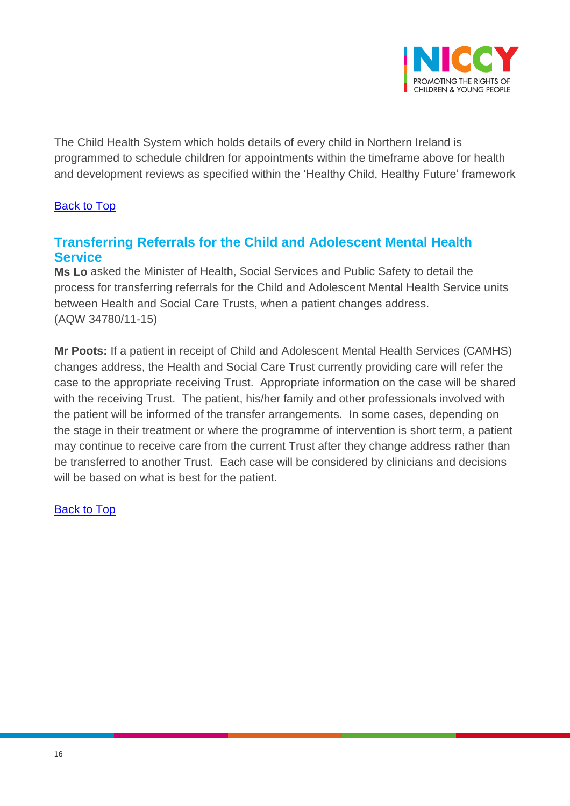

The Child Health System which holds details of every child in Northern Ireland is programmed to schedule children for appointments within the timeframe above for health and development reviews as specified within the 'Healthy Child, Healthy Future' framework

#### [Back to Top](#page-0-0)

## <span id="page-15-0"></span>**Transferring Referrals for the Child and Adolescent Mental Health Service**

**Ms Lo** asked the Minister of Health, Social Services and Public Safety to detail the process for transferring referrals for the Child and Adolescent Mental Health Service units between Health and Social Care Trusts, when a patient changes address. (AQW 34780/11-15)

**Mr Poots:** If a patient in receipt of Child and Adolescent Mental Health Services (CAMHS) changes address, the Health and Social Care Trust currently providing care will refer the case to the appropriate receiving Trust. Appropriate information on the case will be shared with the receiving Trust. The patient, his/her family and other professionals involved with the patient will be informed of the transfer arrangements. In some cases, depending on the stage in their treatment or where the programme of intervention is short term, a patient may continue to receive care from the current Trust after they change address rather than be transferred to another Trust. Each case will be considered by clinicians and decisions will be based on what is best for the patient.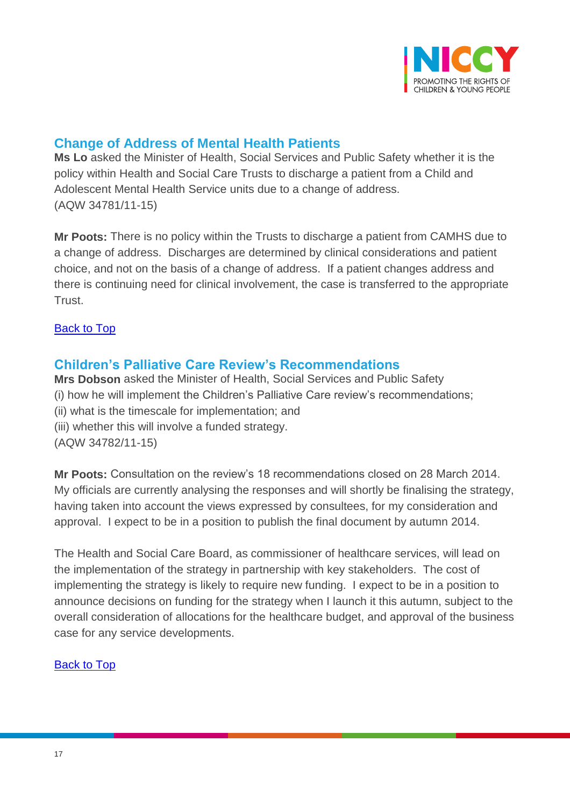

## <span id="page-16-0"></span>**Change of Address of Mental Health Patients**

**Ms Lo** asked the Minister of Health, Social Services and Public Safety whether it is the policy within Health and Social Care Trusts to discharge a patient from a Child and Adolescent Mental Health Service units due to a change of address. (AQW 34781/11-15)

**Mr Poots:** There is no policy within the Trusts to discharge a patient from CAMHS due to a change of address. Discharges are determined by clinical considerations and patient choice, and not on the basis of a change of address. If a patient changes address and there is continuing need for clinical involvement, the case is transferred to the appropriate Trust.

#### [Back to Top](#page-0-0)

#### <span id="page-16-1"></span>**Children's Palliative Care Review's Recommendations**

**Mrs Dobson** asked the Minister of Health, Social Services and Public Safety (i) how he will implement the Children's Palliative Care review's recommendations; (ii) what is the timescale for implementation; and (iii) whether this will involve a funded strategy. (AQW 34782/11-15)

**Mr Poots:** Consultation on the review's 18 recommendations closed on 28 March 2014. My officials are currently analysing the responses and will shortly be finalising the strategy, having taken into account the views expressed by consultees, for my consideration and approval. I expect to be in a position to publish the final document by autumn 2014.

The Health and Social Care Board, as commissioner of healthcare services, will lead on the implementation of the strategy in partnership with key stakeholders. The cost of implementing the strategy is likely to require new funding. I expect to be in a position to announce decisions on funding for the strategy when I launch it this autumn, subject to the overall consideration of allocations for the healthcare budget, and approval of the business case for any service developments.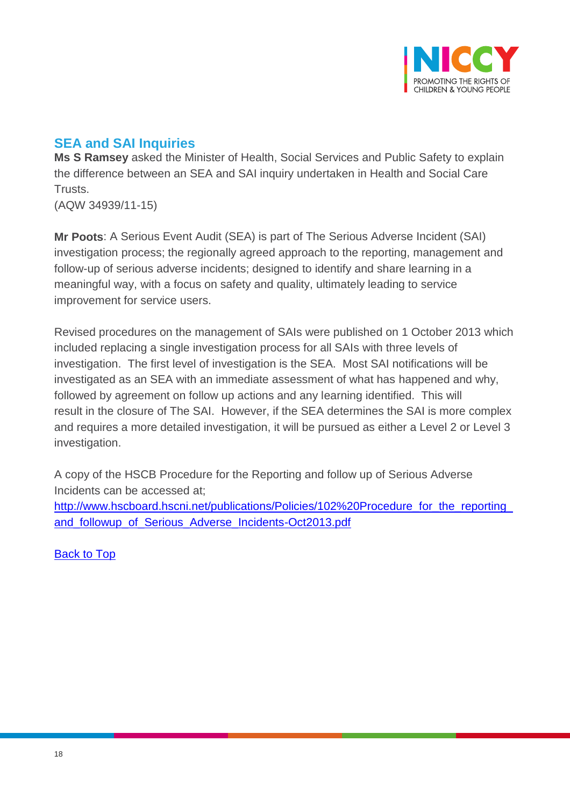

## <span id="page-17-0"></span>**SEA and SAI Inquiries**

**Ms S Ramsey** asked the Minister of Health, Social Services and Public Safety to explain the difference between an SEA and SAI inquiry undertaken in Health and Social Care Trusts.

(AQW 34939/11-15)

**Mr Poots**: A Serious Event Audit (SEA) is part of The Serious Adverse Incident (SAI) investigation process; the regionally agreed approach to the reporting, management and follow-up of serious adverse incidents; designed to identify and share learning in a meaningful way, with a focus on safety and quality, ultimately leading to service improvement for service users.

Revised procedures on the management of SAIs were published on 1 October 2013 which included replacing a single investigation process for all SAIs with three levels of investigation. The first level of investigation is the SEA. Most SAI notifications will be investigated as an SEA with an immediate assessment of what has happened and why, followed by agreement on follow up actions and any learning identified. This will result in the closure of The SAI. However, if the SEA determines the SAI is more complex and requires a more detailed investigation, it will be pursued as either a Level 2 or Level 3 investigation.

A copy of the HSCB Procedure for the Reporting and follow up of Serious Adverse Incidents can be accessed at;

http://www.hscboard.hscni.net/publications/Policies/102%20Procedure for the reporting [and\\_followup\\_of\\_Serious\\_Adverse\\_Incidents-Oct2013.pdf](http://www.hscboard.hscni.net/publications/Policies/102%20Procedure_for_the_reporting_and_followup_of_Serious_Adverse_Incidents-Oct2013.pdf)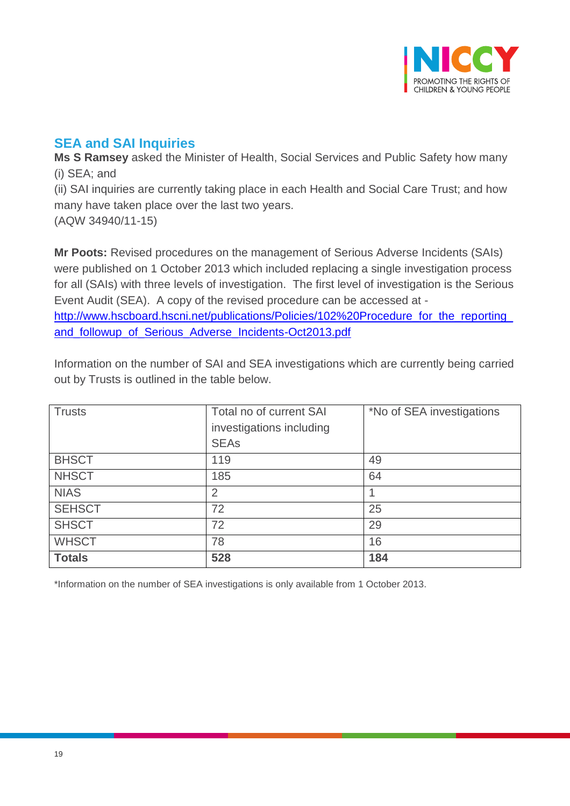

## <span id="page-18-0"></span>**SEA and SAI Inquiries**

**Ms S Ramsey** asked the Minister of Health, Social Services and Public Safety how many (i) SEA; and

(ii) SAI inquiries are currently taking place in each Health and Social Care Trust; and how many have taken place over the last two years.

(AQW 34940/11-15)

**Mr Poots:** Revised procedures on the management of Serious Adverse Incidents (SAIs) were published on 1 October 2013 which included replacing a single investigation process for all (SAIs) with three levels of investigation. The first level of investigation is the Serious Event Audit (SEA). A copy of the revised procedure can be accessed at [http://www.hscboard.hscni.net/publications/Policies/102%20Procedure\\_for\\_the\\_reporting\\_](http://www.hscboard.hscni.net/publications/Policies/102%20Procedure_for_the_reporting_and_followup_of_Serious_Adverse_Incidents-Oct2013.pdf) [and\\_followup\\_of\\_Serious\\_Adverse\\_Incidents-Oct2013.pdf](http://www.hscboard.hscni.net/publications/Policies/102%20Procedure_for_the_reporting_and_followup_of_Serious_Adverse_Incidents-Oct2013.pdf)

Information on the number of SAI and SEA investigations which are currently being carried out by Trusts is outlined in the table below.

| <b>Trusts</b> | Total no of current SAI  | *No of SEA investigations |
|---------------|--------------------------|---------------------------|
|               | investigations including |                           |
|               | <b>SEAs</b>              |                           |
| <b>BHSCT</b>  | 119                      | 49                        |
| <b>NHSCT</b>  | 185                      | 64                        |
| <b>NIAS</b>   | $\overline{2}$           |                           |
| <b>SEHSCT</b> | 72                       | 25                        |
| <b>SHSCT</b>  | 72                       | 29                        |
| <b>WHSCT</b>  | 78                       | 16                        |
| <b>Totals</b> | 528                      | 184                       |

\*Information on the number of SEA investigations is only available from 1 October 2013.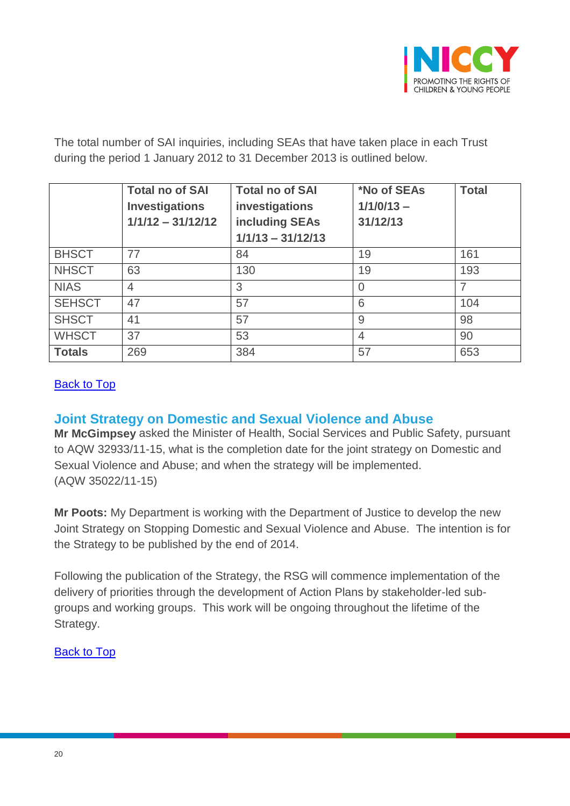

The total number of SAI inquiries, including SEAs that have taken place in each Trust during the period 1 January 2012 to 31 December 2013 is outlined below.

|               | <b>Total no of SAI</b><br><b>Investigations</b><br>$1/1/12 - 31/12/12$ | <b>Total no of SAI</b><br>investigations<br>including SEAs<br>$1/1/13 - 31/12/13$ | *No of SEAs<br>$1/1/0/13 -$<br>31/12/13 | <b>Total</b> |
|---------------|------------------------------------------------------------------------|-----------------------------------------------------------------------------------|-----------------------------------------|--------------|
| <b>BHSCT</b>  | 77                                                                     | 84                                                                                | 19                                      | 161          |
| <b>NHSCT</b>  | 63                                                                     | 130                                                                               | 19                                      | 193          |
| <b>NIAS</b>   | $\overline{4}$                                                         | 3                                                                                 | $\Omega$                                | 7            |
| <b>SEHSCT</b> | 47                                                                     | 57                                                                                | 6                                       | 104          |
| <b>SHSCT</b>  | 41                                                                     | 57                                                                                | 9                                       | 98           |
| <b>WHSCT</b>  | 37                                                                     | 53                                                                                | $\overline{4}$                          | 90           |
| <b>Totals</b> | 269                                                                    | 384                                                                               | 57                                      | 653          |

#### [Back to Top](#page-0-0)

#### <span id="page-19-0"></span>**Joint Strategy on Domestic and Sexual Violence and Abuse**

**Mr McGimpsey** asked the Minister of Health, Social Services and Public Safety, pursuant to AQW 32933/11-15, what is the completion date for the joint strategy on Domestic and Sexual Violence and Abuse; and when the strategy will be implemented. (AQW 35022/11-15)

**Mr Poots:** My Department is working with the Department of Justice to develop the new Joint Strategy on Stopping Domestic and Sexual Violence and Abuse. The intention is for the Strategy to be published by the end of 2014.

Following the publication of the Strategy, the RSG will commence implementation of the delivery of priorities through the development of Action Plans by stakeholder-led subgroups and working groups. This work will be ongoing throughout the lifetime of the Strategy.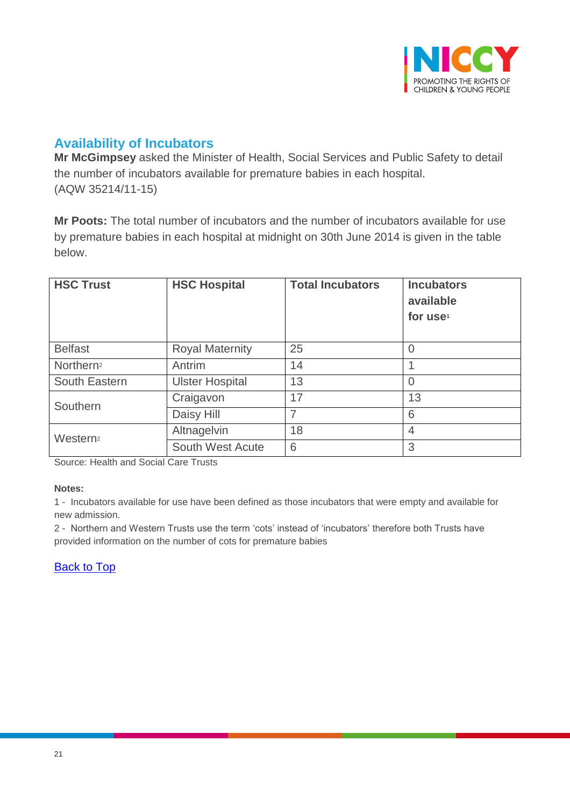

## <span id="page-20-0"></span>**Availability of Incubators**

**Mr McGimpsey** asked the Minister of Health, Social Services and Public Safety to detail the number of incubators available for premature babies in each hospital. (AQW 35214/11-15)

**Mr Poots:** The total number of incubators and the number of incubators available for use by premature babies in each hospital at midnight on 30th June 2014 is given in the table below.

| <b>HSC Trust</b>      | <b>HSC Hospital</b>     | <b>Total Incubators</b> | <b>Incubators</b><br>available<br>for use <sup>1</sup> |
|-----------------------|-------------------------|-------------------------|--------------------------------------------------------|
| <b>Belfast</b>        | <b>Royal Maternity</b>  | 25                      | $\overline{0}$                                         |
| Northern <sup>2</sup> | Antrim                  | 14                      |                                                        |
| South Eastern         | <b>Ulster Hospital</b>  | 13                      | $\overline{0}$                                         |
| Southern              | Craigavon               | 17                      | 13                                                     |
|                       | Daisy Hill              | 7                       | 6                                                      |
| Western <sup>2</sup>  | Altnagelvin             | 18                      | $\overline{4}$                                         |
|                       | <b>South West Acute</b> | 6                       | 3                                                      |

Source: Health and Social Care Trusts

**Notes:**

1 - Incubators available for use have been defined as those incubators that were empty and available for new admission.

2 - Northern and Western Trusts use the term 'cots' instead of 'incubators' therefore both Trusts have provided information on the number of cots for premature babies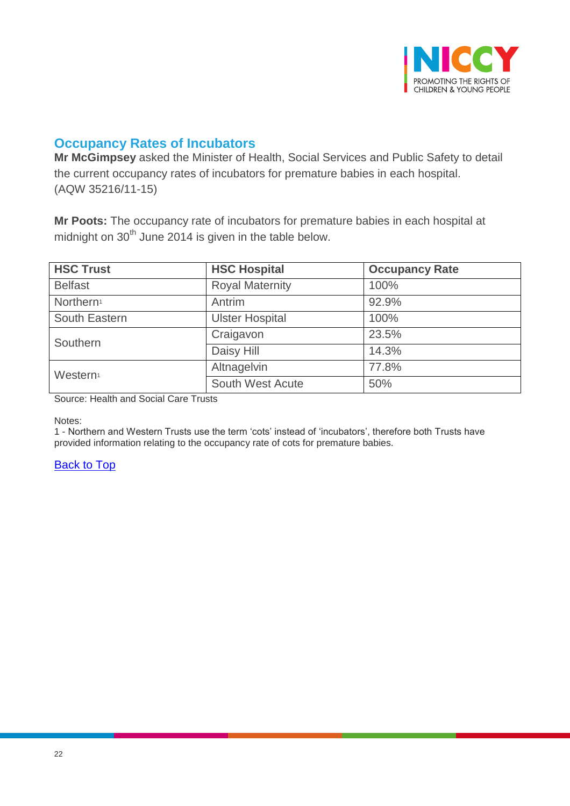

## <span id="page-21-0"></span>**Occupancy Rates of Incubators**

**Mr McGimpsey** asked the Minister of Health, Social Services and Public Safety to detail the current occupancy rates of incubators for premature babies in each hospital. (AQW 35216/11-15)

**Mr Poots:** The occupancy rate of incubators for premature babies in each hospital at midnight on  $30<sup>th</sup>$  June 2014 is given in the table below.

| <b>HSC Trust</b>      | <b>HSC Hospital</b>    | <b>Occupancy Rate</b> |
|-----------------------|------------------------|-----------------------|
| <b>Belfast</b>        | <b>Royal Maternity</b> | 100%                  |
| Northern <sup>1</sup> | Antrim                 | 92.9%                 |
| South Eastern         | <b>Ulster Hospital</b> | 100%                  |
| Southern              | Craigavon              | 23.5%                 |
|                       | Daisy Hill             | 14.3%                 |
| Western <sup>1</sup>  | Altnagelvin            | 77.8%                 |
|                       | South West Acute       | 50%                   |

Source: Health and Social Care Trusts

Notes:

1 - Northern and Western Trusts use the term 'cots' instead of 'incubators', therefore both Trusts have provided information relating to the occupancy rate of cots for premature babies.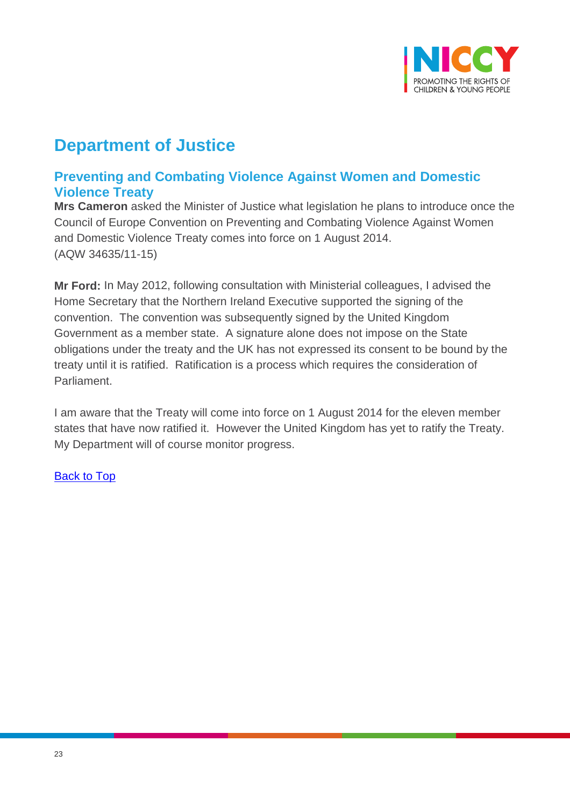

## **Department of Justice**

## <span id="page-22-0"></span>**Preventing and Combating Violence Against Women and Domestic Violence Treaty**

**Mrs Cameron** asked the Minister of Justice what legislation he plans to introduce once the Council of Europe Convention on Preventing and Combating Violence Against Women and Domestic Violence Treaty comes into force on 1 August 2014. (AQW 34635/11-15)

**Mr Ford:** In May 2012, following consultation with Ministerial colleagues, I advised the Home Secretary that the Northern Ireland Executive supported the signing of the convention. The convention was subsequently signed by the United Kingdom Government as a member state. A signature alone does not impose on the State obligations under the treaty and the UK has not expressed its consent to be bound by the treaty until it is ratified. Ratification is a process which requires the consideration of Parliament.

I am aware that the Treaty will come into force on 1 August 2014 for the eleven member states that have now ratified it. However the United Kingdom has yet to ratify the Treaty. My Department will of course monitor progress.